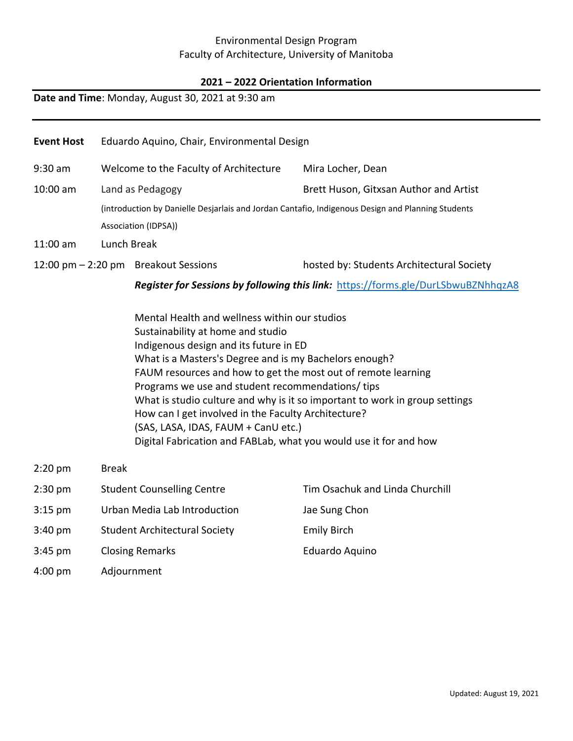## Environmental Design Program Faculty of Architecture, University of Manitoba

#### **2021 – 2022 Orientation Information**

#### **Date and Time**: Monday, August 30, 2021 at 9:30 am

| <b>Event Host</b> |                                                                                                   | Eduardo Aquino, Chair, Environmental Design |                                                                                   |  |  |  |
|-------------------|---------------------------------------------------------------------------------------------------|---------------------------------------------|-----------------------------------------------------------------------------------|--|--|--|
| $9:30$ am         |                                                                                                   | Welcome to the Faculty of Architecture      | Mira Locher, Dean                                                                 |  |  |  |
| $10:00$ am        |                                                                                                   | Land as Pedagogy                            | Brett Huson, Gitxsan Author and Artist                                            |  |  |  |
|                   | (introduction by Danielle Desjarlais and Jordan Cantafio, Indigenous Design and Planning Students |                                             |                                                                                   |  |  |  |
|                   | Association (IDPSA))                                                                              |                                             |                                                                                   |  |  |  |
| $11:00$ am        | Lunch Break                                                                                       |                                             |                                                                                   |  |  |  |
|                   |                                                                                                   | 12:00 pm $-$ 2:20 pm Breakout Sessions      | hosted by: Students Architectural Society                                         |  |  |  |
|                   |                                                                                                   |                                             | Desister for Cossians by following this link, https://forms.olo/DurlChuuD7Nbbo-AQ |  |  |  |

*Register for Sessions by following this link:* <https://forms.gle/DurLSbwuBZNhhqzA8>

Mental Health and wellness within our studios Sustainability at home and studio Indigenous design and its future in ED What is a Masters's Degree and is my Bachelors enough? FAUM resources and how to get the most out of remote learning Programs we use and student recommendations/ tips What is studio culture and why is it so important to work in group settings How can I get involved in the Faculty Architecture? (SAS, LASA, IDAS, FAUM + CanU etc.) Digital Fabrication and FABLab, what you would use it for and how

| $2:20$ pm         | <b>Break</b>                         |                                 |
|-------------------|--------------------------------------|---------------------------------|
| $2:30$ pm         | <b>Student Counselling Centre</b>    | Tim Osachuk and Linda Churchill |
| $3:15$ pm         | Urban Media Lab Introduction         | Jae Sung Chon                   |
| $3:40 \text{ pm}$ | <b>Student Architectural Society</b> | <b>Emily Birch</b>              |
| $3:45$ pm         | <b>Closing Remarks</b>               | Eduardo Aquino                  |
| $4:00$ pm         | Adjournment                          |                                 |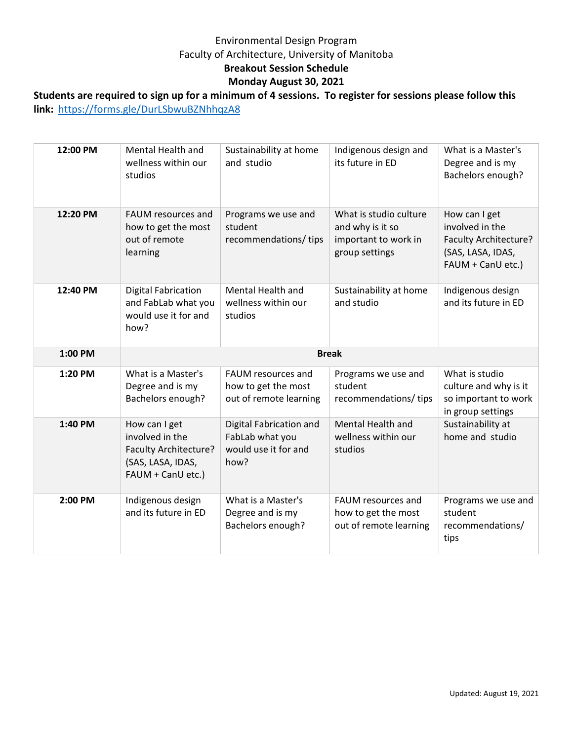# Environmental Design Program Faculty of Architecture, University of Manitoba **Breakout Session Schedule Monday August 30, 2021**

# **Students are required to sign up for a minimum of 4 sessions. To register for sessions please follow this link:** <https://forms.gle/DurLSbwuBZNhhqzA8>

| 12:00 PM | Mental Health and<br>wellness within our<br>studios                                                        | Sustainability at home<br>and studio                                       | Indigenous design and<br>its future in ED                                            | What is a Master's<br>Degree and is my<br>Bachelors enough?                                         |  |  |
|----------|------------------------------------------------------------------------------------------------------------|----------------------------------------------------------------------------|--------------------------------------------------------------------------------------|-----------------------------------------------------------------------------------------------------|--|--|
| 12:20 PM | FAUM resources and<br>how to get the most<br>out of remote<br>learning                                     | Programs we use and<br>student<br>recommendations/tips                     | What is studio culture<br>and why is it so<br>important to work in<br>group settings | How can I get<br>involved in the<br>Faculty Architecture?<br>(SAS, LASA, IDAS,<br>FAUM + CanU etc.) |  |  |
| 12:40 PM | <b>Digital Fabrication</b><br>and FabLab what you<br>would use it for and<br>how?                          | Mental Health and<br>wellness within our<br>studios                        | Sustainability at home<br>and studio                                                 | Indigenous design<br>and its future in ED                                                           |  |  |
| 1:00 PM  | <b>Break</b>                                                                                               |                                                                            |                                                                                      |                                                                                                     |  |  |
|          |                                                                                                            |                                                                            |                                                                                      |                                                                                                     |  |  |
| 1:20 PM  | What is a Master's<br>Degree and is my<br>Bachelors enough?                                                | FAUM resources and<br>how to get the most<br>out of remote learning        | Programs we use and<br>student<br>recommendations/tips                               | What is studio<br>culture and why is it<br>so important to work<br>in group settings                |  |  |
| 1:40 PM  | How can I get<br>involved in the<br><b>Faculty Architecture?</b><br>(SAS, LASA, IDAS,<br>FAUM + CanU etc.) | Digital Fabrication and<br>FabLab what you<br>would use it for and<br>how? | Mental Health and<br>wellness within our<br>studios                                  | Sustainability at<br>home and studio                                                                |  |  |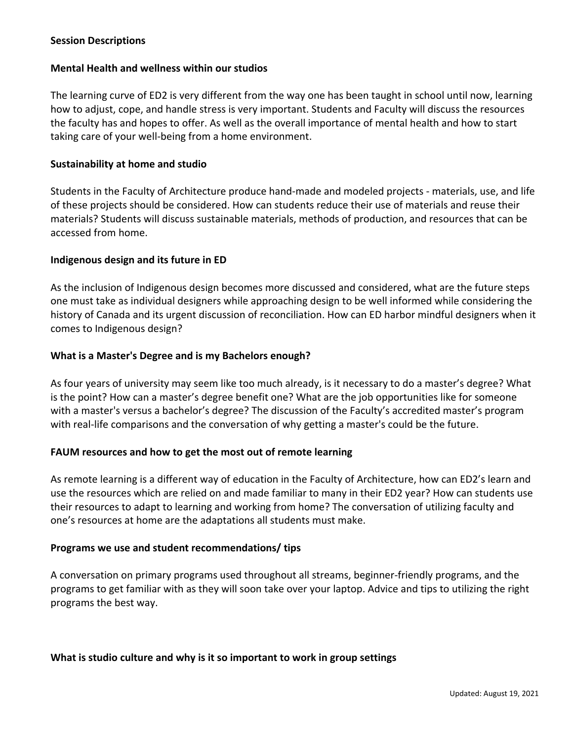### **Session Descriptions**

#### **Mental Health and wellness within our studios**

The learning curve of ED2 is very different from the way one has been taught in school until now, learning how to adjust, cope, and handle stress is very important. Students and Faculty will discuss the resources the faculty has and hopes to offer. As well as the overall importance of mental health and how to start taking care of your well-being from a home environment.

#### **Sustainability at home and studio**

Students in the Faculty of Architecture produce hand-made and modeled projects - materials, use, and life of these projects should be considered. How can students reduce their use of materials and reuse their materials? Students will discuss sustainable materials, methods of production, and resources that can be accessed from home.

#### **Indigenous design and its future in ED**

As the inclusion of Indigenous design becomes more discussed and considered, what are the future steps one must take as individual designers while approaching design to be well informed while considering the history of Canada and its urgent discussion of reconciliation. How can ED harbor mindful designers when it comes to Indigenous design?

#### **What is a Master's Degree and is my Bachelors enough?**

As four years of university may seem like too much already, is it necessary to do a master's degree? What is the point? How can a master's degree benefit one? What are the job opportunities like for someone with a master's versus a bachelor's degree? The discussion of the Faculty's accredited master's program with real-life comparisons and the conversation of why getting a master's could be the future.

#### **FAUM resources and how to get the most out of remote learning**

As remote learning is a different way of education in the Faculty of Architecture, how can ED2's learn and use the resources which are relied on and made familiar to many in their ED2 year? How can students use their resources to adapt to learning and working from home? The conversation of utilizing faculty and one's resources at home are the adaptations all students must make.

#### **Programs we use and student recommendations/ tips**

A conversation on primary programs used throughout all streams, beginner-friendly programs, and the programs to get familiar with as they will soon take over your laptop. Advice and tips to utilizing the right programs the best way.

#### **What is studio culture and why is it so important to work in group settings**